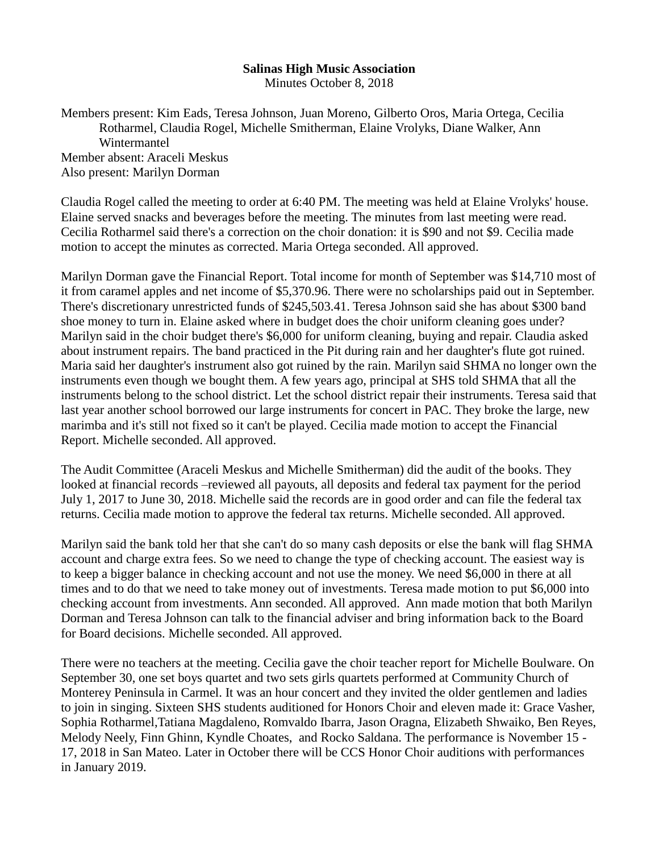## **Salinas High Music Association**

Minutes October 8, 2018

Members present: Kim Eads, Teresa Johnson, Juan Moreno, Gilberto Oros, Maria Ortega, Cecilia Rotharmel, Claudia Rogel, Michelle Smitherman, Elaine Vrolyks, Diane Walker, Ann **Wintermantel** Member absent: Araceli Meskus Also present: Marilyn Dorman

Claudia Rogel called the meeting to order at 6:40 PM. The meeting was held at Elaine Vrolyks' house. Elaine served snacks and beverages before the meeting. The minutes from last meeting were read. Cecilia Rotharmel said there's a correction on the choir donation: it is \$90 and not \$9. Cecilia made motion to accept the minutes as corrected. Maria Ortega seconded. All approved.

Marilyn Dorman gave the Financial Report. Total income for month of September was \$14,710 most of it from caramel apples and net income of \$5,370.96. There were no scholarships paid out in September. There's discretionary unrestricted funds of \$245,503.41. Teresa Johnson said she has about \$300 band shoe money to turn in. Elaine asked where in budget does the choir uniform cleaning goes under? Marilyn said in the choir budget there's \$6,000 for uniform cleaning, buying and repair. Claudia asked about instrument repairs. The band practiced in the Pit during rain and her daughter's flute got ruined. Maria said her daughter's instrument also got ruined by the rain. Marilyn said SHMA no longer own the instruments even though we bought them. A few years ago, principal at SHS told SHMA that all the instruments belong to the school district. Let the school district repair their instruments. Teresa said that last year another school borrowed our large instruments for concert in PAC. They broke the large, new marimba and it's still not fixed so it can't be played. Cecilia made motion to accept the Financial Report. Michelle seconded. All approved.

The Audit Committee (Araceli Meskus and Michelle Smitherman) did the audit of the books. They looked at financial records –reviewed all payouts, all deposits and federal tax payment for the period July 1, 2017 to June 30, 2018. Michelle said the records are in good order and can file the federal tax returns. Cecilia made motion to approve the federal tax returns. Michelle seconded. All approved.

Marilyn said the bank told her that she can't do so many cash deposits or else the bank will flag SHMA account and charge extra fees. So we need to change the type of checking account. The easiest way is to keep a bigger balance in checking account and not use the money. We need \$6,000 in there at all times and to do that we need to take money out of investments. Teresa made motion to put \$6,000 into checking account from investments. Ann seconded. All approved. Ann made motion that both Marilyn Dorman and Teresa Johnson can talk to the financial adviser and bring information back to the Board for Board decisions. Michelle seconded. All approved.

There were no teachers at the meeting. Cecilia gave the choir teacher report for Michelle Boulware. On September 30, one set boys quartet and two sets girls quartets performed at Community Church of Monterey Peninsula in Carmel. It was an hour concert and they invited the older gentlemen and ladies to join in singing. Sixteen SHS students auditioned for Honors Choir and eleven made it: Grace Vasher, Sophia Rotharmel,Tatiana Magdaleno, Romvaldo Ibarra, Jason Oragna, Elizabeth Shwaiko, Ben Reyes, Melody Neely, Finn Ghinn, Kyndle Choates, and Rocko Saldana. The performance is November 15 - 17, 2018 in San Mateo. Later in October there will be CCS Honor Choir auditions with performances in January 2019.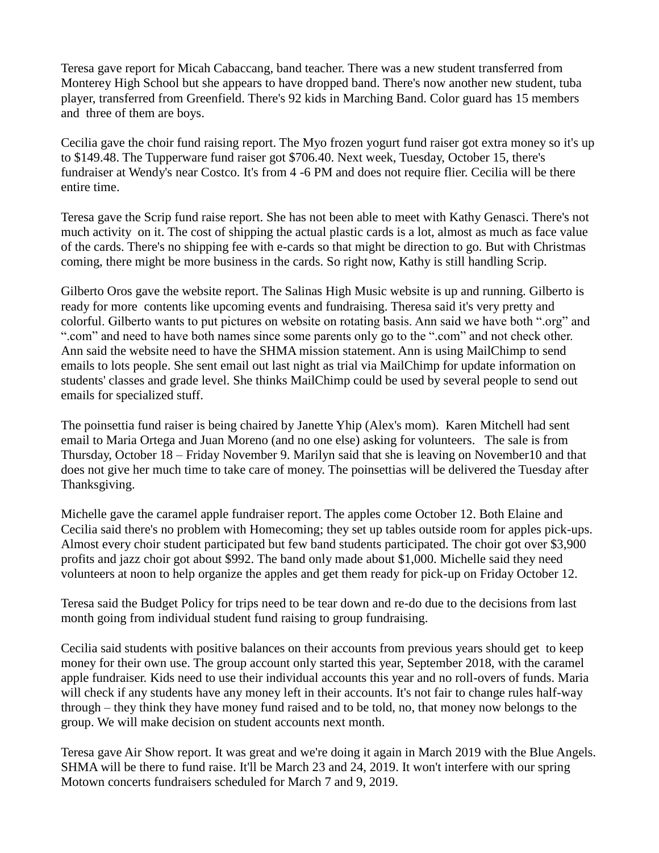Teresa gave report for Micah Cabaccang, band teacher. There was a new student transferred from Monterey High School but she appears to have dropped band. There's now another new student, tuba player, transferred from Greenfield. There's 92 kids in Marching Band. Color guard has 15 members and three of them are boys.

Cecilia gave the choir fund raising report. The Myo frozen yogurt fund raiser got extra money so it's up to \$149.48. The Tupperware fund raiser got \$706.40. Next week, Tuesday, October 15, there's fundraiser at Wendy's near Costco. It's from 4 -6 PM and does not require flier. Cecilia will be there entire time.

Teresa gave the Scrip fund raise report. She has not been able to meet with Kathy Genasci. There's not much activity on it. The cost of shipping the actual plastic cards is a lot, almost as much as face value of the cards. There's no shipping fee with e-cards so that might be direction to go. But with Christmas coming, there might be more business in the cards. So right now, Kathy is still handling Scrip.

Gilberto Oros gave the website report. The Salinas High Music website is up and running. Gilberto is ready for more contents like upcoming events and fundraising. Theresa said it's very pretty and colorful. Gilberto wants to put pictures on website on rotating basis. Ann said we have both ".org" and ".com" and need to have both names since some parents only go to the ".com" and not check other. Ann said the website need to have the SHMA mission statement. Ann is using MailChimp to send emails to lots people. She sent email out last night as trial via MailChimp for update information on students' classes and grade level. She thinks MailChimp could be used by several people to send out emails for specialized stuff.

The poinsettia fund raiser is being chaired by Janette Yhip (Alex's mom). Karen Mitchell had sent email to Maria Ortega and Juan Moreno (and no one else) asking for volunteers. The sale is from Thursday, October 18 – Friday November 9. Marilyn said that she is leaving on November10 and that does not give her much time to take care of money. The poinsettias will be delivered the Tuesday after Thanksgiving.

Michelle gave the caramel apple fundraiser report. The apples come October 12. Both Elaine and Cecilia said there's no problem with Homecoming; they set up tables outside room for apples pick-ups. Almost every choir student participated but few band students participated. The choir got over \$3,900 profits and jazz choir got about \$992. The band only made about \$1,000. Michelle said they need volunteers at noon to help organize the apples and get them ready for pick-up on Friday October 12.

Teresa said the Budget Policy for trips need to be tear down and re-do due to the decisions from last month going from individual student fund raising to group fundraising.

Cecilia said students with positive balances on their accounts from previous years should get to keep money for their own use. The group account only started this year, September 2018, with the caramel apple fundraiser. Kids need to use their individual accounts this year and no roll-overs of funds. Maria will check if any students have any money left in their accounts. It's not fair to change rules half-way through – they think they have money fund raised and to be told, no, that money now belongs to the group. We will make decision on student accounts next month.

Teresa gave Air Show report. It was great and we're doing it again in March 2019 with the Blue Angels. SHMA will be there to fund raise. It'll be March 23 and 24, 2019. It won't interfere with our spring Motown concerts fundraisers scheduled for March 7 and 9, 2019.